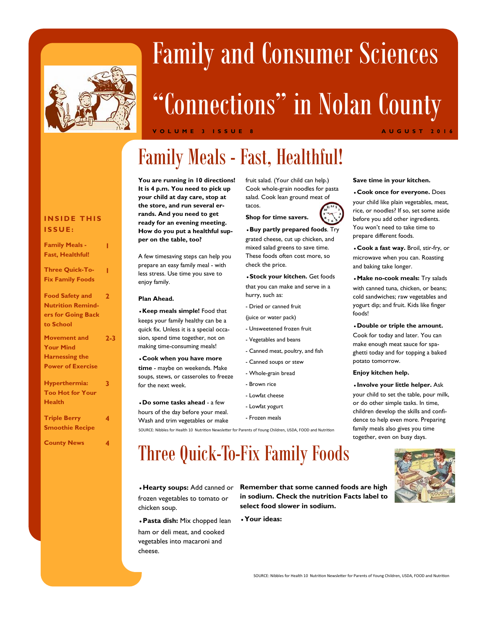

**INSIDE THIS** 

**1** 

**1** 

 $\overline{2}$ 

**2-3** 

**3** 

**4** 

**ISSUE:** 

**Family Meals - Fast, Healthful!** 

**Three Quick-To-Fix Family Foods** 

**Food Safety and Nutrition Reminders for Going Back** 

**Movement and Your Mind Harnessing the Power of Exercise** 

**Hyperthermia: Too Hot for Your** 

**Triple Berry Smoothie Recipe** 

**Health** 

**to School** 

# Family and Consumer Sciences

## "Connections" in Nolan County

#### **VOLUME 3 ISSUE 8 AUGUST 2016**

## Family Meals - Fast, Healthful!

**You are running in 10 directions! It is 4 p.m. You need to pick up your child at day care, stop at the store, and run several errands. And you need to get ready for an evening meeting. How do you put a healthful supper on the table, too?** 

A few timesaving steps can help you prepare an easy family meal - with less stress. Use time you save to enjoy family.

#### **Plan Ahead.**

for the next week.

**●Keep meals simple!** Food that keeps your family healthy can be a quick fix. Unless it is a special occasion, spend time together, not on making time-consuming meals!

●**Cook when you have more time** - maybe on weekends. Make soups, stews, or casseroles to freeze

●**Do some tasks ahead** - a few hours of the day before your meal. Wash and trim vegetables or make fruit salad. (Your child can help.) Cook whole-grain noodles for pasta salad. Cook lean ground meat of tacos.

**Shop for time savers.** 

**●Buy partly prepared foods**. Try grated cheese, cut up chicken, and mixed salad greens to save time. These foods often cost more, so check the price.

**●Stock your kitchen.** Get foods that you can make and serve in a hurry, such as:

- 
- Unsweetened frozen fruit
- Vegetables and beans
- 
- Canned soups or stew
- Whole-grain bread
- 
- 
- Lowfat yogurt
- Frozen meals

**Save time in your kitchen.** 

**●Cook once for everyone.** Does your child like plain vegetables, meat, rice, or noodles? If so, set some aside before you add other ingredients. You won't need to take time to prepare different foods.

**●Cook a fast way.** Broil, stir-fry, or microwave when you can. Roasting and baking take longer.

**●Make no-cook meals:** Try salads with canned tuna, chicken, or beans; cold sandwiches; raw vegetables and yogurt dip; and fruit. Kids like finger foods!

**●Double or triple the amount.**

Cook for today and later. You can make enough meat sauce for spaghetti today and for topping a baked potato tomorrow.

#### **Enjoy kitchen help.**

**●Involve your little helper.** Ask

your child to set the table, pour milk, or do other simple tasks. In time, children develop the skills and confidence to help even more. Preparing family meals also gives you time together, even on busy days.

**●Hearty soups:** Add canned or frozen vegetables to tomato or chicken soup.

**●Pasta dish:** Mix chopped lean

ham or deli meat, and cooked vegetables into macaroni and cheese.

**Remember that some canned foods are high in sodium. Check the nutrition Facts label to select food slower in sodium.** 



SOURCE: Nibbles for Health 10 Nutrition Newsletter for Parents of Young Children, USDA, FOOD and Nutrition

- 
- Dried or canned fruit

(juice or water pack)

- 
- 
- Canned meat, poultry, and fish
- 
- 
- Brown rice
- Lowfat cheese
- 
- 

SOURCE: Nibbles for Health 10 Nutrition Newsletter for Parents of Young Children, USDA, FOOD and Nutrition

**County News** 4 **Three Quick-To-Fix Family Foods**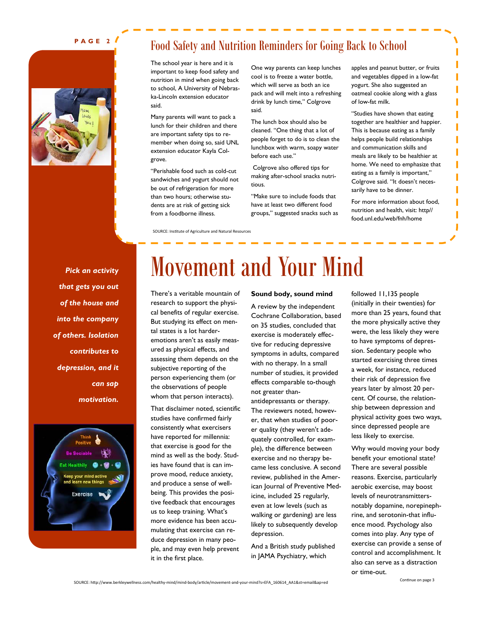#### **PAGE 2**



## Food Safety and Nutrition Reminders for Going Back to School

The school year is here and it is important to keep food safety and nutrition in mind when going back to school, A University of Nebraska-Lincoln extension educator said.

Many parents will want to pack a lunch for their children and there are important safety tips to remember when doing so, said UNL extension educator Kayla Colgrove.

"Perishable food such as cold-cut sandwiches and yogurt should not be out of refrigeration for more than two hours; otherwise students are at risk of getting sick from a foodborne illness.

SOURCE: Institute of Agriculture and Natural Resources

One way parents can keep lunches cool is to freeze a water bottle, which will serve as both an ice pack and will melt into a refreshing drink by lunch time," Colgrove said.

The lunch box should also be cleaned. "One thing that a lot of people forget to do is to clean the lunchbox with warm, soapy water before each use."

 Colgrove also offered tips for making after-school snacks nutritious.

"Make sure to include foods that have at least two different food groups," suggested snacks such as

apples and peanut butter, or fruits and vegetables dipped in a low-fat yogurt. She also suggested an oatmeal cookie along with a glass of low-fat milk.

"Studies have shown that eating together are healthier and happier. This is because eating as a family helps people build relationships and communication skills and meals are likely to be healthier at home. We need to emphasize that eating as a family is important," Colgrove said. "It doesn't necessarily have to be dinner.

For more information about food, nutrition and health, visit: http// food.unl.edu/web/fnh/home

*Pick an activity that gets you out of the house and into the company of others. Isolation contributes to depression, and it can sap motivation.* 



## Movement and Your Mind

There's a veritable mountain of research to support the physical benefits of regular exercise. But studying its effect on mental states is a lot harderemotions aren't as easily measured as physical effects, and assessing them depends on the subjective reporting of the person experiencing them (or the observations of people whom that person interacts).

That disclaimer noted, scientific studies have confirmed fairly consistently what exercisers have reported for millennia: that exercise is good for the mind as well as the body. Studies have found that is can improve mood, reduce anxiety, and produce a sense of wellbeing. This provides the positive feedback that encourages us to keep training. What's more evidence has been accumulating that exercise can reduce depression in many people, and may even help prevent it in the first place.

#### **Sound body, sound mind**

A review by the independent Cochrane Collaboration, based on 35 studies, concluded that exercise is moderately effective for reducing depressive symptoms in adults, compared with no therapy. In a small number of studies, it provided effects comparable to-though not greater than-

antidepressants or therapy. The reviewers noted, however, that when studies of poorer quality (they weren't adequately controlled, for example), the difference between exercise and no therapy became less conclusive. A second review, published in the American Journal of Preventive Medicine, included 25 regularly, even at low levels (such as walking or gardening) are less likely to subsequently develop depression.

And a British study published in JAMA Psychiatry, which

followed 11,135 people (initially in their twenties) for more than 25 years, found that the more physically active they were, the less likely they were to have symptoms of depression. Sedentary people who started exercising three times a week, for instance, reduced their risk of depression five years later by almost 20 percent. Of course, the relationship between depression and physical activity goes two ways, since depressed people are less likely to exercise.

Why would moving your body benefit your emotional state? There are several possible reasons. Exercise, particularly aerobic exercise, may boost levels of neurotransmittersnotably dopamine, norepinephrine, and serotonin-that influence mood. Psychology also comes into play. Any type of exercise can provide a sense of control and accomplishment. It also can serve as a distraction or time-out.

SOURCE: http://www.berkleywellness.com/healthy-mind/mind-body/article/movement-and-your-mind?s=EFA\_160614\_AA1&st=email&ap=ed Continue on page 3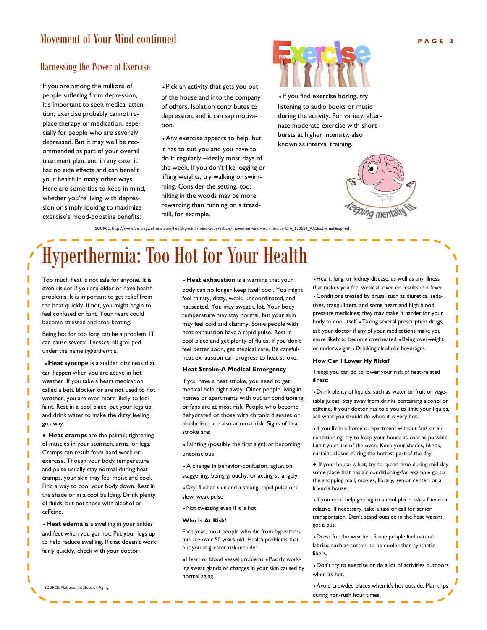### Movement of Your Mind continued

#### Harnessing the Power of Exercise

If you are among the millions of people suffering from depression, it's important to seek medical attention; exercise probably cannot replace therapy or medication, especially for people who are severely depressed. But it may well be recommended as part of your overall treatment plan, and in any case, it has no side effects and can benefit your health in many other ways. Here are some tips to keep in mind, whether you're living with depression or simply looking to maximize exercise's mood-boosting benefits:

• Pick an activity that gets you out of the house and into the company of others. Isolation contributes to depression, and it can sap motivation.

• Any exercise appears to help, but it has to suit you and you have to do it regularly –ideally most days of the week. If you don't like jogging or lifting weights, try walking or swimming. Consider the setting, too; hiking in the woods may be more rewarding than running on a treadmill, for example.



• If you find exercise boring, try listening to audio books or music during the activity. For variety, alternate moderate exercise with short bursts at higher intensity, also known as interval training.



SOURCE: http://www.berkleywellness.com/healthy-mind/mind-body/article/movement-and-your-mind?s=EFA\_160614\_AA1&st=email&ap=ed

## Hyperthermia: Too Hot for Your Health

Too much heat is not safe for anyone. It is even riskier if you are older or have health problems. It is important to get relief from the heat quickly. If not, you might begin to feel confused or faint. Your heart could become stressed and stop beating.

Being hot for too long can be a problem. IT can cause several illnesses, all grouped under the name *hyperthermia.*

**• Heat syncope** is a sudden dizziness that can happen when you are active in hot weather. If you take a heart medication called a beta blocker or are not used to hot weather, you are even more likely to feel faint. Rest in a cool place, put your legs up, and drink water to make the dizzy feeling go away.

● **Heat cramps** are the painful; tightening of muscles in your stomach, arms, or legs. Cramps can result from hard work or exercise. Though your body temperature and pulse usually stay normal during heat cramps, your skin may feel moist and cool. Find a way to cool your body down. Rest in the shade or in a cool building. Drink plenty of fluids, but not those with alcohol or caffeine.

**●Heat edema** is a swelling in your ankles and feet when you get hot. Put your legs up to help reduce swelling. If that doesn't work fairly quickly, check with your doctor.

SOURCE: National Institute on Aging

●**Heat exhaustion** is a warning that your

body can no longer keep itself cool. You might feel thirsty, dizzy, weak, uncoordinated, and nauseated. You may sweat a lot. Your body temperature may stay normal, but your skin may feel cold and clammy. Some people with heat exhaustion have a rapid pulse. Rest in cool place and get plenty of fluids. If you don't feel better soon, get medical care. Be carefulheat exhaustion can progress to heat stroke.

#### **Heat Stroke-A Medical Emergency**

If you have a heat stroke, you need to get medical help right away. Older people living in homes or apartments with out air conditioning or fans are at most risk. People who become dehydrated or those with chronic diseases or alcoholism are also at most risk. Signs of heat stroke are:

• Fainting (possibly the first sign) or becoming unconscious

• A change in behavior-confusion, agitation,

staggering, being grouchy, or acting strangely

• Dry, flushed skin and a strong, rapid pulse or a slow, weak pulse

• Not sweating even if it is hot

#### **Who Is At Risk?**

Each year, most people who die from hyperthermia are over 50 years old. Health problems that put you at greater risk include:

• Heart or blood vessel problems • Poorly working sweat glands or changes in your skin caused by normal aging

• Heart, lung, or kidney disease, as well as any illness that makes you feel weak all over or results in a fever • Conditions treated by drugs, such as diuretics, sedatives, tranquilizers, and some heart and high blood pressure medicines; they may make it harder for your body to cool itself • Taking several prescription drugs, ask your doctor if any of your medications make you more likely to become overheated • Being overweight or underweight • Drinking alcoholic beverages

#### **How Can I Lower My Risks?**

Things you can do to lower your risk of heat-related illness:

• Drink plenty of liquids, such as water or fruit or vegetable juices. Stay away from drinks containing alcohol or caffeine. If your doctor has told you to limit your liquids, ask what you should do when it is very hot.

• If you liv in a home or apartment without fans or air conditioning, try to keep your house as cool as possible. Limit your use of the oven. Keep your shades, blinds, curtains closed during the hottest part of the day.

● If your house is hot, try to spend time during mid-day some place that has air conditioning-for example go to the shopping mall, movies, library, senior center, or a friend's house.

• If you need help getting to a cool place, ask a friend or relative. If necessary, take a taxi or call for senior transportaion. Don't stand outside in the heat waisint got a bus.

• Dress for the weather. Some people find natural fabrics, such as cotton, to be cooler than synthetic fibers.

• Don't try to exercise or do a lot of activities outdoors when its hot.

• Avoid crowded places when it's hot outside. Plan trips during non-rush hour times.

#### **PAGE 3**